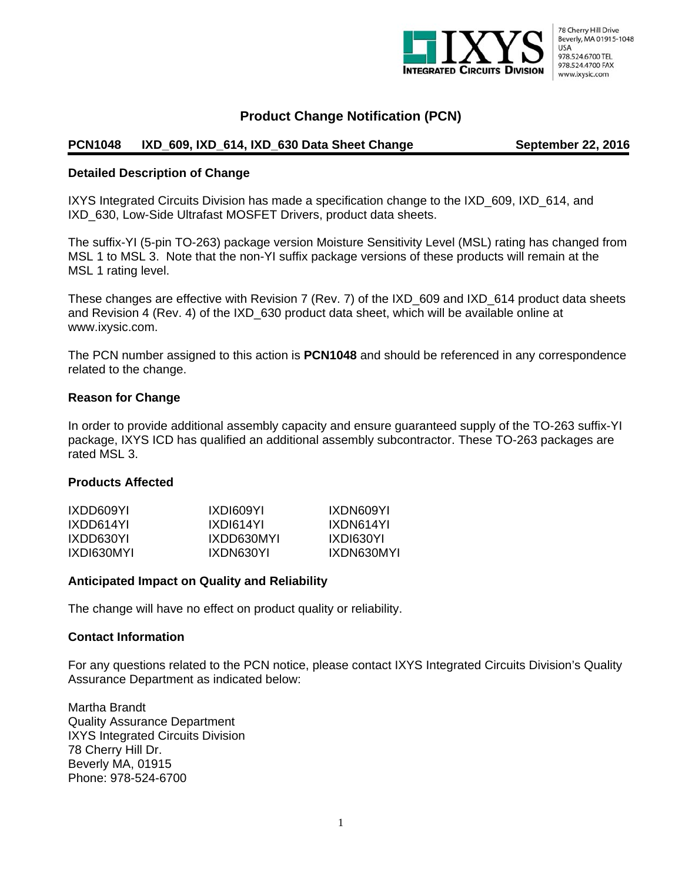

## **Product Change Notification (PCN)**

### PCN1048 IXD\_609, IXD\_614, IXD\_630 Data Sheet Change **September 22, 2016**

#### **Detailed Description of Change**

IXYS Integrated Circuits Division has made a specification change to the IXD\_609, IXD\_614, and IXD\_630, Low-Side Ultrafast MOSFET Drivers, product data sheets.

The suffix-YI (5-pin TO-263) package version Moisture Sensitivity Level (MSL) rating has changed from MSL 1 to MSL 3. Note that the non-YI suffix package versions of these products will remain at the MSL 1 rating level.

These changes are effective with Revision 7 (Rev. 7) of the IXD\_609 and IXD\_614 product data sheets and Revision 4 (Rev. 4) of the IXD\_630 product data sheet, which will be available online at www.ixysic.com.

The PCN number assigned to this action is **PCN1048** and should be referenced in any correspondence related to the change.

#### **Reason for Change**

In order to provide additional assembly capacity and ensure guaranteed supply of the TO-263 suffix-YI package, IXYS ICD has qualified an additional assembly subcontractor. These TO-263 packages are rated MSL 3.

#### **Products Affected**

| IXDD609YI  | IXDI609YI  | IXDN609YI  |
|------------|------------|------------|
| IXDD614YL  | IXDI614YI  | IXDN614YI  |
| IXDD630YI  | IXDD630MYI | IXDI630YL  |
| IXDI630MYL | IXDN630YI  | IXDN630MYI |

#### **Anticipated Impact on Quality and Reliability**

The change will have no effect on product quality or reliability.

#### **Contact Information**

For any questions related to the PCN notice, please contact IXYS Integrated Circuits Division's Quality Assurance Department as indicated below:

Martha Brandt Quality Assurance Department IXYS Integrated Circuits Division 78 Cherry Hill Dr. Beverly MA, 01915 Phone: 978-524-6700